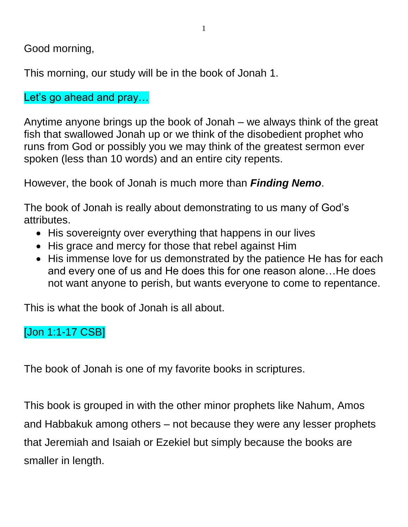Good morning,

This morning, our study will be in the book of Jonah 1.

Let's go ahead and pray...

Anytime anyone brings up the book of Jonah – we always think of the great fish that swallowed Jonah up or we think of the disobedient prophet who runs from God or possibly you we may think of the greatest sermon ever spoken (less than 10 words) and an entire city repents.

However, the book of Jonah is much more than *Finding Nemo*.

The book of Jonah is really about demonstrating to us many of God's attributes.

- His sovereignty over everything that happens in our lives
- His grace and mercy for those that rebel against Him
- His immense love for us demonstrated by the patience He has for each and every one of us and He does this for one reason alone…He does not want anyone to perish, but wants everyone to come to repentance.

This is what the book of Jonah is all about.

## [Jon 1:1-17 CSB]

The book of Jonah is one of my favorite books in scriptures.

This book is grouped in with the other minor prophets like Nahum, Amos and Habbakuk among others – not because they were any lesser prophets that Jeremiah and Isaiah or Ezekiel but simply because the books are smaller in length.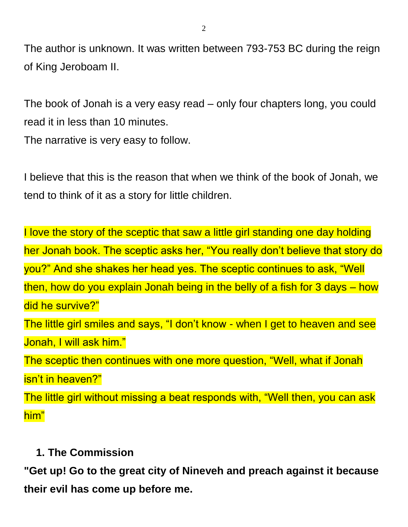The author is unknown. It was written between 793-753 BC during the reign of King Jeroboam II.

The book of Jonah is a very easy read – only four chapters long, you could read it in less than 10 minutes.

The narrative is very easy to follow.

I believe that this is the reason that when we think of the book of Jonah, we tend to think of it as a story for little children.

I love the story of the sceptic that saw a little girl standing one day holding her Jonah book. The sceptic asks her, "You really don't believe that story do you?" And she shakes her head yes. The sceptic continues to ask, "Well then, how do you explain Jonah being in the belly of a fish for 3 days – how did he survive?" The little girl smiles and says, "I don't know - when I get to heaven and see Jonah, I will ask him." The sceptic then continues with one more question, "Well, what if Jonah isn't in heaven?" The little girl without missing a beat responds with, "Well then, you can ask him"

#### **1. The Commission**

**"Get up! Go to the great city of Nineveh and preach against it because their evil has come up before me.**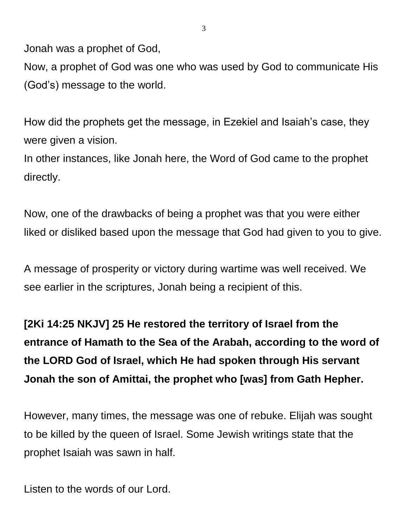Jonah was a prophet of God,

Now, a prophet of God was one who was used by God to communicate His (God's) message to the world.

How did the prophets get the message, in Ezekiel and Isaiah's case, they were given a vision.

In other instances, like Jonah here, the Word of God came to the prophet directly.

Now, one of the drawbacks of being a prophet was that you were either liked or disliked based upon the message that God had given to you to give.

A message of prosperity or victory during wartime was well received. We see earlier in the scriptures, Jonah being a recipient of this.

**[2Ki 14:25 NKJV] 25 He restored the territory of Israel from the entrance of Hamath to the Sea of the Arabah, according to the word of the LORD God of Israel, which He had spoken through His servant Jonah the son of Amittai, the prophet who [was] from Gath Hepher.**

However, many times, the message was one of rebuke. Elijah was sought to be killed by the queen of Israel. Some Jewish writings state that the prophet Isaiah was sawn in half.

Listen to the words of our Lord.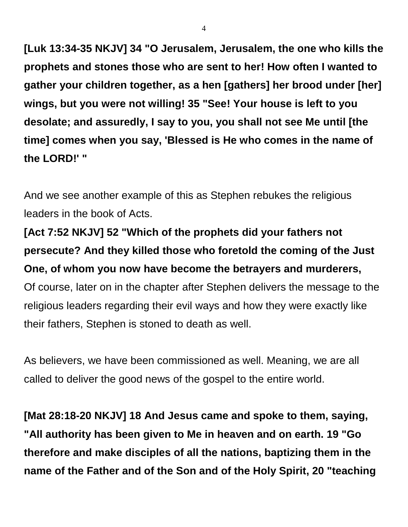**[Luk 13:34-35 NKJV] 34 "O Jerusalem, Jerusalem, the one who kills the prophets and stones those who are sent to her! How often I wanted to gather your children together, as a hen [gathers] her brood under [her] wings, but you were not willing! 35 "See! Your house is left to you desolate; and assuredly, I say to you, you shall not see Me until [the time] comes when you say, 'Blessed is He who comes in the name of the LORD!' "**

And we see another example of this as Stephen rebukes the religious leaders in the book of Acts.

**[Act 7:52 NKJV] 52 "Which of the prophets did your fathers not persecute? And they killed those who foretold the coming of the Just One, of whom you now have become the betrayers and murderers,** Of course, later on in the chapter after Stephen delivers the message to the religious leaders regarding their evil ways and how they were exactly like their fathers, Stephen is stoned to death as well.

As believers, we have been commissioned as well. Meaning, we are all called to deliver the good news of the gospel to the entire world.

**[Mat 28:18-20 NKJV] 18 And Jesus came and spoke to them, saying, "All authority has been given to Me in heaven and on earth. 19 "Go therefore and make disciples of all the nations, baptizing them in the name of the Father and of the Son and of the Holy Spirit, 20 "teaching**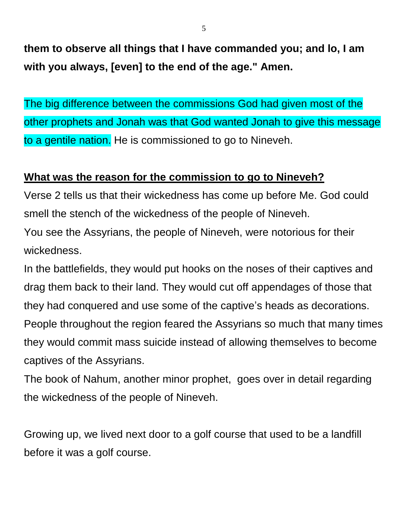**them to observe all things that I have commanded you; and lo, I am with you always, [even] to the end of the age." Amen.**

The big difference between the commissions God had given most of the other prophets and Jonah was that God wanted Jonah to give this message to a gentile nation. He is commissioned to go to Nineveh.

### **What was the reason for the commission to go to Nineveh?**

Verse 2 tells us that their wickedness has come up before Me. God could smell the stench of the wickedness of the people of Nineveh.

You see the Assyrians, the people of Nineveh, were notorious for their wickedness.

In the battlefields, they would put hooks on the noses of their captives and drag them back to their land. They would cut off appendages of those that they had conquered and use some of the captive's heads as decorations. People throughout the region feared the Assyrians so much that many times they would commit mass suicide instead of allowing themselves to become captives of the Assyrians.

The book of Nahum, another minor prophet, goes over in detail regarding the wickedness of the people of Nineveh.

Growing up, we lived next door to a golf course that used to be a landfill before it was a golf course.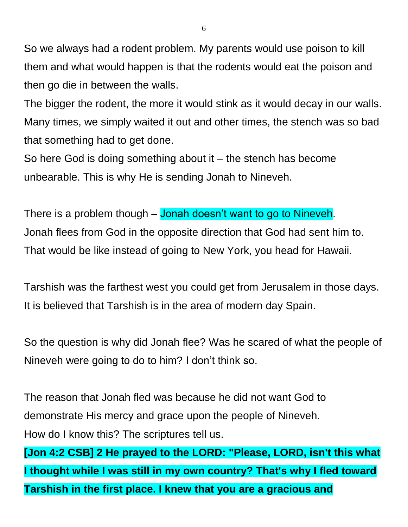So we always had a rodent problem. My parents would use poison to kill them and what would happen is that the rodents would eat the poison and then go die in between the walls.

The bigger the rodent, the more it would stink as it would decay in our walls. Many times, we simply waited it out and other times, the stench was so bad that something had to get done.

So here God is doing something about it  $-$  the stench has become unbearable. This is why He is sending Jonah to Nineveh.

There is a problem though – Jonah doesn't want to go to Nineveh. Jonah flees from God in the opposite direction that God had sent him to. That would be like instead of going to New York, you head for Hawaii.

Tarshish was the farthest west you could get from Jerusalem in those days. It is believed that Tarshish is in the area of modern day Spain.

So the question is why did Jonah flee? Was he scared of what the people of Nineveh were going to do to him? I don't think so.

The reason that Jonah fled was because he did not want God to demonstrate His mercy and grace upon the people of Nineveh. How do I know this? The scriptures tell us.

**[Jon 4:2 CSB] 2 He prayed to the LORD: "Please, LORD, isn't this what I thought while I was still in my own country? That's why I fled toward Tarshish in the first place. I knew that you are a gracious and**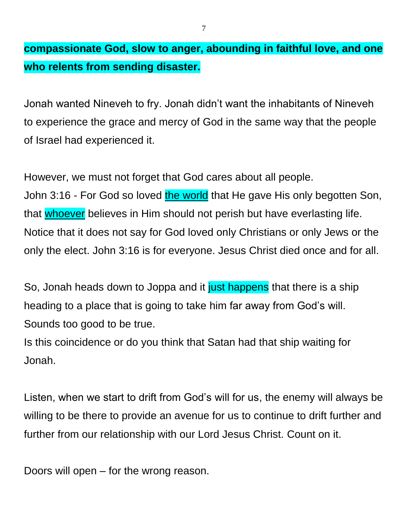**compassionate God, slow to anger, abounding in faithful love, and one who relents from sending disaster.**

Jonah wanted Nineveh to fry. Jonah didn't want the inhabitants of Nineveh to experience the grace and mercy of God in the same way that the people of Israel had experienced it.

However, we must not forget that God cares about all people. John 3:16 - For God so loved the world that He gave His only begotten Son, that whoever believes in Him should not perish but have everlasting life. Notice that it does not say for God loved only Christians or only Jews or the only the elect. John 3:16 is for everyone. Jesus Christ died once and for all.

So, Jonah heads down to Joppa and it just happens that there is a ship heading to a place that is going to take him far away from God's will. Sounds too good to be true.

Is this coincidence or do you think that Satan had that ship waiting for Jonah.

Listen, when we start to drift from God's will for us, the enemy will always be willing to be there to provide an avenue for us to continue to drift further and further from our relationship with our Lord Jesus Christ. Count on it.

Doors will open – for the wrong reason.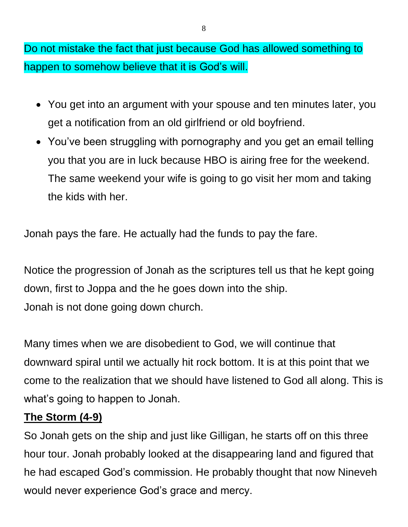Do not mistake the fact that just because God has allowed something to happen to somehow believe that it is God's will.

- You get into an argument with your spouse and ten minutes later, you get a notification from an old girlfriend or old boyfriend.
- You've been struggling with pornography and you get an email telling you that you are in luck because HBO is airing free for the weekend. The same weekend your wife is going to go visit her mom and taking the kids with her.

Jonah pays the fare. He actually had the funds to pay the fare.

Notice the progression of Jonah as the scriptures tell us that he kept going down, first to Joppa and the he goes down into the ship. Jonah is not done going down church.

Many times when we are disobedient to God, we will continue that downward spiral until we actually hit rock bottom. It is at this point that we come to the realization that we should have listened to God all along. This is what's going to happen to Jonah.

## **The Storm (4-9)**

So Jonah gets on the ship and just like Gilligan, he starts off on this three hour tour. Jonah probably looked at the disappearing land and figured that he had escaped God's commission. He probably thought that now Nineveh would never experience God's grace and mercy.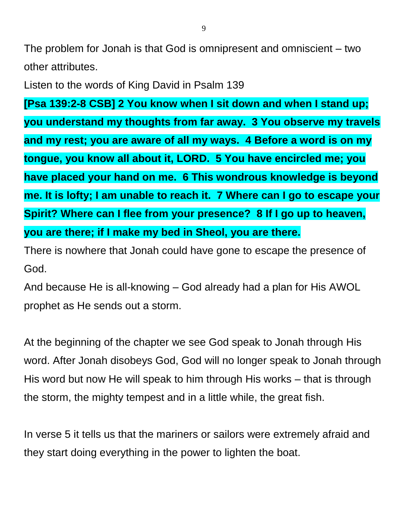The problem for Jonah is that God is omnipresent and omniscient – two other attributes.

Listen to the words of King David in Psalm 139

**[Psa 139:2-8 CSB] 2 You know when I sit down and when I stand up; you understand my thoughts from far away. 3 You observe my travels and my rest; you are aware of all my ways. 4 Before a word is on my tongue, you know all about it, LORD. 5 You have encircled me; you have placed your hand on me. 6 This wondrous knowledge is beyond me. It is lofty; I am unable to reach it. 7 Where can I go to escape your Spirit? Where can I flee from your presence? 8 If I go up to heaven, you are there; if I make my bed in Sheol, you are there.**

There is nowhere that Jonah could have gone to escape the presence of God.

And because He is all-knowing – God already had a plan for His AWOL prophet as He sends out a storm.

At the beginning of the chapter we see God speak to Jonah through His word. After Jonah disobeys God, God will no longer speak to Jonah through His word but now He will speak to him through His works – that is through the storm, the mighty tempest and in a little while, the great fish.

In verse 5 it tells us that the mariners or sailors were extremely afraid and they start doing everything in the power to lighten the boat.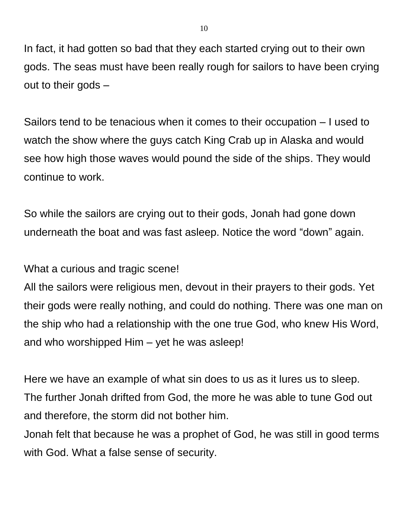In fact, it had gotten so bad that they each started crying out to their own gods. The seas must have been really rough for sailors to have been crying out to their gods –

Sailors tend to be tenacious when it comes to their occupation – I used to watch the show where the guys catch King Crab up in Alaska and would see how high those waves would pound the side of the ships. They would continue to work.

So while the sailors are crying out to their gods, Jonah had gone down underneath the boat and was fast asleep. Notice the word "down" again.

What a curious and tragic scene!

All the sailors were religious men, devout in their prayers to their gods. Yet their gods were really nothing, and could do nothing. There was one man on the ship who had a relationship with the one true God, who knew His Word, and who worshipped Him – yet he was asleep!

Here we have an example of what sin does to us as it lures us to sleep. The further Jonah drifted from God, the more he was able to tune God out and therefore, the storm did not bother him.

Jonah felt that because he was a prophet of God, he was still in good terms with God. What a false sense of security.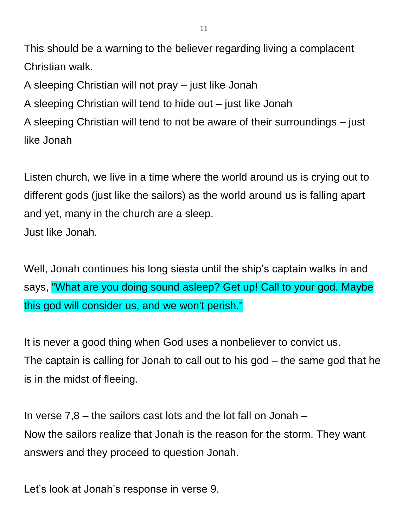This should be a warning to the believer regarding living a complacent Christian walk.

A sleeping Christian will not pray – just like Jonah

A sleeping Christian will tend to hide out – just like Jonah

A sleeping Christian will tend to not be aware of their surroundings – just like Jonah

Listen church, we live in a time where the world around us is crying out to different gods (just like the sailors) as the world around us is falling apart and yet, many in the church are a sleep. Just like Jonah.

Well, Jonah continues his long siesta until the ship's captain walks in and says, "What are you doing sound asleep? Get up! Call to your god. Maybe this god will consider us, and we won't perish."

It is never a good thing when God uses a nonbeliever to convict us. The captain is calling for Jonah to call out to his god – the same god that he is in the midst of fleeing.

In verse 7,8 – the sailors cast lots and the lot fall on Jonah – Now the sailors realize that Jonah is the reason for the storm. They want answers and they proceed to question Jonah.

Let's look at Jonah's response in verse 9.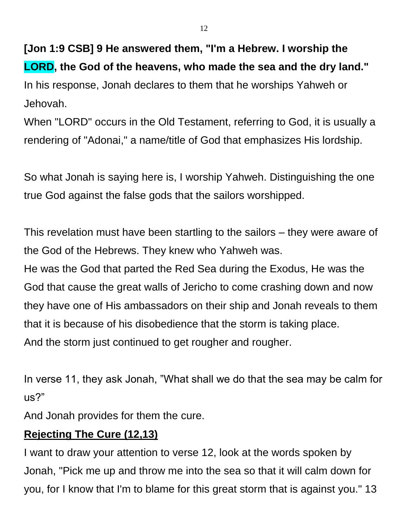**[Jon 1:9 CSB] 9 He answered them, "I'm a Hebrew. I worship the LORD, the God of the heavens, who made the sea and the dry land."** In his response, Jonah declares to them that he worships Yahweh or Jehovah.

When "LORD" occurs in the Old Testament, referring to God, it is usually a rendering of "Adonai," a name/title of God that emphasizes His lordship.

So what Jonah is saying here is, I worship Yahweh. Distinguishing the one true God against the false gods that the sailors worshipped.

This revelation must have been startling to the sailors – they were aware of the God of the Hebrews. They knew who Yahweh was.

He was the God that parted the Red Sea during the Exodus, He was the God that cause the great walls of Jericho to come crashing down and now they have one of His ambassadors on their ship and Jonah reveals to them that it is because of his disobedience that the storm is taking place. And the storm just continued to get rougher and rougher.

In verse 11, they ask Jonah, "What shall we do that the sea may be calm for us?"

And Jonah provides for them the cure.

#### **Rejecting The Cure (12,13)**

I want to draw your attention to verse 12, look at the words spoken by Jonah, "Pick me up and throw me into the sea so that it will calm down for you, for I know that I'm to blame for this great storm that is against you." 13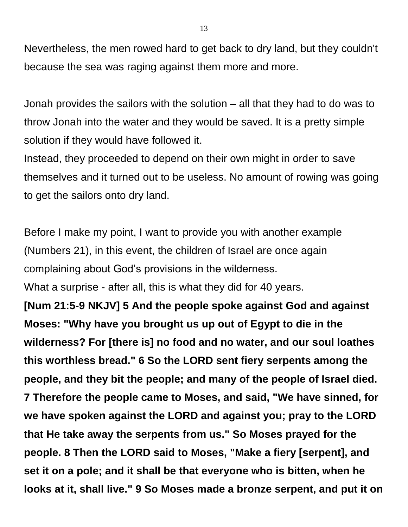Nevertheless, the men rowed hard to get back to dry land, but they couldn't because the sea was raging against them more and more.

Jonah provides the sailors with the solution – all that they had to do was to throw Jonah into the water and they would be saved. It is a pretty simple solution if they would have followed it.

Instead, they proceeded to depend on their own might in order to save themselves and it turned out to be useless. No amount of rowing was going to get the sailors onto dry land.

Before I make my point, I want to provide you with another example (Numbers 21), in this event, the children of Israel are once again complaining about God's provisions in the wilderness.

What a surprise - after all, this is what they did for 40 years.

**[Num 21:5-9 NKJV] 5 And the people spoke against God and against Moses: "Why have you brought us up out of Egypt to die in the wilderness? For [there is] no food and no water, and our soul loathes this worthless bread." 6 So the LORD sent fiery serpents among the people, and they bit the people; and many of the people of Israel died. 7 Therefore the people came to Moses, and said, "We have sinned, for we have spoken against the LORD and against you; pray to the LORD that He take away the serpents from us." So Moses prayed for the people. 8 Then the LORD said to Moses, "Make a fiery [serpent], and set it on a pole; and it shall be that everyone who is bitten, when he looks at it, shall live." 9 So Moses made a bronze serpent, and put it on**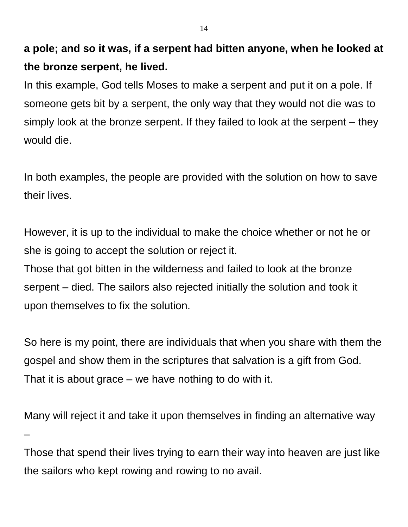**a pole; and so it was, if a serpent had bitten anyone, when he looked at the bronze serpent, he lived.**

In this example, God tells Moses to make a serpent and put it on a pole. If someone gets bit by a serpent, the only way that they would not die was to simply look at the bronze serpent. If they failed to look at the serpent – they would die.

In both examples, the people are provided with the solution on how to save their lives.

However, it is up to the individual to make the choice whether or not he or she is going to accept the solution or reject it.

Those that got bitten in the wilderness and failed to look at the bronze serpent – died. The sailors also rejected initially the solution and took it upon themselves to fix the solution.

So here is my point, there are individuals that when you share with them the gospel and show them in the scriptures that salvation is a gift from God. That it is about grace – we have nothing to do with it.

Many will reject it and take it upon themselves in finding an alternative way –

Those that spend their lives trying to earn their way into heaven are just like the sailors who kept rowing and rowing to no avail.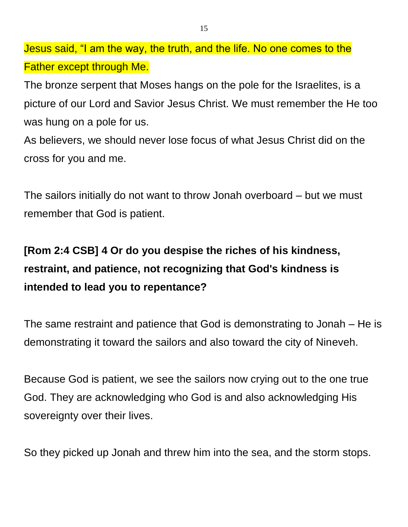Jesus said, "I am the way, the truth, and the life. No one comes to the Father except through Me.

The bronze serpent that Moses hangs on the pole for the Israelites, is a picture of our Lord and Savior Jesus Christ. We must remember the He too was hung on a pole for us.

As believers, we should never lose focus of what Jesus Christ did on the cross for you and me.

The sailors initially do not want to throw Jonah overboard – but we must remember that God is patient.

# **[Rom 2:4 CSB] 4 Or do you despise the riches of his kindness, restraint, and patience, not recognizing that God's kindness is intended to lead you to repentance?**

The same restraint and patience that God is demonstrating to Jonah – He is demonstrating it toward the sailors and also toward the city of Nineveh.

Because God is patient, we see the sailors now crying out to the one true God. They are acknowledging who God is and also acknowledging His sovereignty over their lives.

So they picked up Jonah and threw him into the sea, and the storm stops.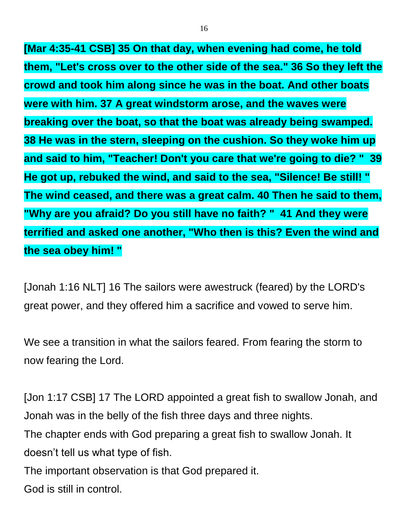**[Mar 4:35-41 CSB] 35 On that day, when evening had come, he told them, "Let's cross over to the other side of the sea." 36 So they left the crowd and took him along since he was in the boat. And other boats were with him. 37 A great windstorm arose, and the waves were breaking over the boat, so that the boat was already being swamped. 38 He was in the stern, sleeping on the cushion. So they woke him up and said to him, "Teacher! Don't you care that we're going to die? " 39 He got up, rebuked the wind, and said to the sea, "Silence! Be still! " The wind ceased, and there was a great calm. 40 Then he said to them, "Why are you afraid? Do you still have no faith? " 41 And they were terrified and asked one another, "Who then is this? Even the wind and the sea obey him! "**

[Jonah 1:16 NLT] 16 The sailors were awestruck (feared) by the LORD's great power, and they offered him a sacrifice and vowed to serve him.

We see a transition in what the sailors feared. From fearing the storm to now fearing the Lord.

[Jon 1:17 CSB] 17 The LORD appointed a great fish to swallow Jonah, and Jonah was in the belly of the fish three days and three nights. The chapter ends with God preparing a great fish to swallow Jonah. It doesn't tell us what type of fish. The important observation is that God prepared it. God is still in control.

16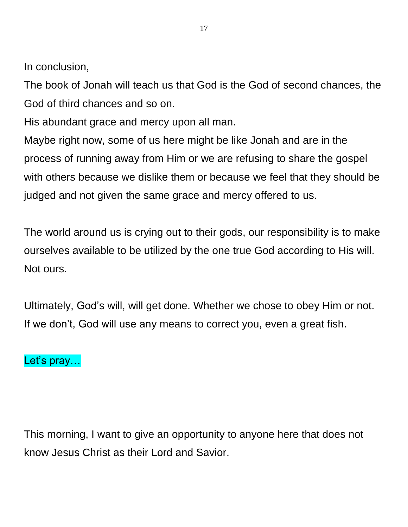In conclusion,

The book of Jonah will teach us that God is the God of second chances, the God of third chances and so on.

His abundant grace and mercy upon all man.

Maybe right now, some of us here might be like Jonah and are in the process of running away from Him or we are refusing to share the gospel with others because we dislike them or because we feel that they should be judged and not given the same grace and mercy offered to us.

The world around us is crying out to their gods, our responsibility is to make ourselves available to be utilized by the one true God according to His will. Not ours.

Ultimately, God's will, will get done. Whether we chose to obey Him or not. If we don't, God will use any means to correct you, even a great fish.

## Let's pray...

This morning, I want to give an opportunity to anyone here that does not know Jesus Christ as their Lord and Savior.